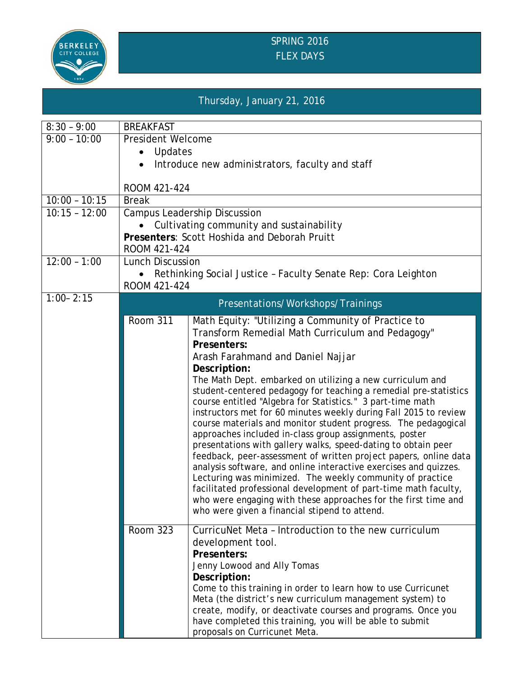

## SPRING 2016 FLEX DAYS

## Thursday, January 21, 2016

| $8:30 - 9:00$   | <b>BREAKFAST</b>                                                           |                                                                                                                          |  |  |  |  |  |
|-----------------|----------------------------------------------------------------------------|--------------------------------------------------------------------------------------------------------------------------|--|--|--|--|--|
| $9:00 - 10:00$  | <b>President Welcome</b>                                                   |                                                                                                                          |  |  |  |  |  |
|                 | Updates                                                                    |                                                                                                                          |  |  |  |  |  |
|                 | Introduce new administrators, faculty and staff                            |                                                                                                                          |  |  |  |  |  |
|                 |                                                                            |                                                                                                                          |  |  |  |  |  |
|                 | ROOM 421-424                                                               |                                                                                                                          |  |  |  |  |  |
| $10:00 - 10:15$ | <b>Break</b>                                                               |                                                                                                                          |  |  |  |  |  |
| $10:15 - 12:00$ | <b>Campus Leadership Discussion</b>                                        |                                                                                                                          |  |  |  |  |  |
|                 | Cultivating community and sustainability                                   |                                                                                                                          |  |  |  |  |  |
|                 | Presenters: Scott Hoshida and Deborah Pruitt                               |                                                                                                                          |  |  |  |  |  |
|                 | ROOM 421-424                                                               |                                                                                                                          |  |  |  |  |  |
| $12:00 - 1:00$  | <b>Lunch Discussion</b>                                                    |                                                                                                                          |  |  |  |  |  |
|                 | Rethinking Social Justice - Faculty Senate Rep: Cora Leighton<br>$\bullet$ |                                                                                                                          |  |  |  |  |  |
|                 | ROOM 421-424                                                               |                                                                                                                          |  |  |  |  |  |
| $1:00 - 2:15$   | Presentations/Workshops/Trainings                                          |                                                                                                                          |  |  |  |  |  |
|                 | <b>Room 311</b>                                                            | Math Equity: "Utilizing a Community of Practice to                                                                       |  |  |  |  |  |
|                 |                                                                            | Transform Remedial Math Curriculum and Pedagogy"                                                                         |  |  |  |  |  |
|                 |                                                                            | Presenters:                                                                                                              |  |  |  |  |  |
|                 |                                                                            | Arash Farahmand and Daniel Najjar                                                                                        |  |  |  |  |  |
|                 |                                                                            | Description:                                                                                                             |  |  |  |  |  |
|                 |                                                                            | The Math Dept. embarked on utilizing a new curriculum and                                                                |  |  |  |  |  |
|                 |                                                                            | student-centered pedagogy for teaching a remedial pre-statistics                                                         |  |  |  |  |  |
|                 |                                                                            | course entitled "Algebra for Statistics." 3 part-time math                                                               |  |  |  |  |  |
|                 |                                                                            | instructors met for 60 minutes weekly during Fall 2015 to review                                                         |  |  |  |  |  |
|                 |                                                                            | course materials and monitor student progress. The pedagogical<br>approaches included in-class group assignments, poster |  |  |  |  |  |
|                 |                                                                            | presentations with gallery walks, speed-dating to obtain peer                                                            |  |  |  |  |  |
|                 |                                                                            | feedback, peer-assessment of written project papers, online data                                                         |  |  |  |  |  |
|                 |                                                                            | analysis software, and online interactive exercises and quizzes.                                                         |  |  |  |  |  |
|                 |                                                                            | Lecturing was minimized. The weekly community of practice                                                                |  |  |  |  |  |
|                 |                                                                            | facilitated professional development of part-time math faculty,                                                          |  |  |  |  |  |
|                 |                                                                            | who were engaging with these approaches for the first time and                                                           |  |  |  |  |  |
|                 |                                                                            | who were given a financial stipend to attend.                                                                            |  |  |  |  |  |
|                 | <b>Room 323</b>                                                            | CurricuNet Meta - Introduction to the new curriculum                                                                     |  |  |  |  |  |
|                 |                                                                            | development tool.                                                                                                        |  |  |  |  |  |
|                 |                                                                            | Presenters:                                                                                                              |  |  |  |  |  |
|                 |                                                                            | Jenny Lowood and Ally Tomas                                                                                              |  |  |  |  |  |
|                 |                                                                            | Description:                                                                                                             |  |  |  |  |  |
|                 |                                                                            | Come to this training in order to learn how to use Curricunet                                                            |  |  |  |  |  |
|                 |                                                                            | Meta (the district's new curriculum management system) to                                                                |  |  |  |  |  |
|                 |                                                                            | create, modify, or deactivate courses and programs. Once you                                                             |  |  |  |  |  |
|                 |                                                                            | have completed this training, you will be able to submit                                                                 |  |  |  |  |  |
|                 |                                                                            | proposals on Curricunet Meta.                                                                                            |  |  |  |  |  |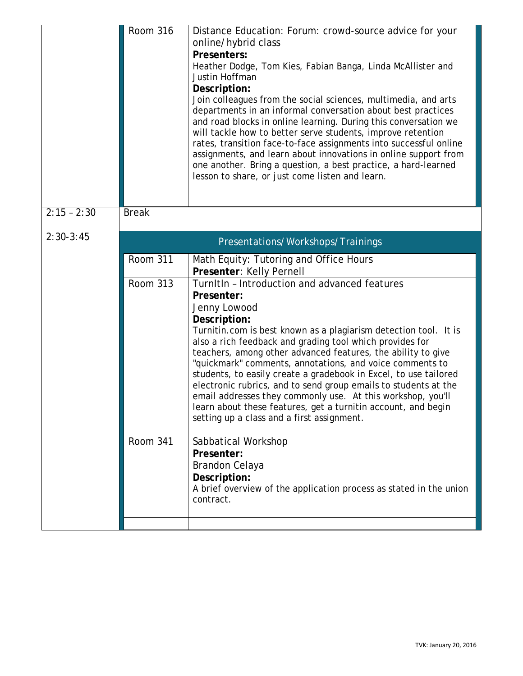|               | <b>Room 316</b>                   | Distance Education: Forum: crowd-source advice for your<br>online/hybrid class<br>Presenters:<br>Heather Dodge, Tom Kies, Fabian Banga, Linda McAllister and<br>Justin Hoffman<br>Description:<br>Join colleagues from the social sciences, multimedia, and arts<br>departments in an informal conversation about best practices<br>and road blocks in online learning. During this conversation we<br>will tackle how to better serve students, improve retention<br>rates, transition face-to-face assignments into successful online<br>assignments, and learn about innovations in online support from<br>one another. Bring a question, a best practice, a hard-learned<br>lesson to share, or just come listen and learn. |  |  |  |
|---------------|-----------------------------------|---------------------------------------------------------------------------------------------------------------------------------------------------------------------------------------------------------------------------------------------------------------------------------------------------------------------------------------------------------------------------------------------------------------------------------------------------------------------------------------------------------------------------------------------------------------------------------------------------------------------------------------------------------------------------------------------------------------------------------|--|--|--|
| $2:15 - 2:30$ | <b>Break</b>                      |                                                                                                                                                                                                                                                                                                                                                                                                                                                                                                                                                                                                                                                                                                                                 |  |  |  |
| $2:30-3:45$   | Presentations/Workshops/Trainings |                                                                                                                                                                                                                                                                                                                                                                                                                                                                                                                                                                                                                                                                                                                                 |  |  |  |
|               | <b>Room 311</b>                   | Math Equity: Tutoring and Office Hours<br>Presenter: Kelly Pernell                                                                                                                                                                                                                                                                                                                                                                                                                                                                                                                                                                                                                                                              |  |  |  |
|               | <b>Room 313</b>                   | TurnItIn - Introduction and advanced features<br>Presenter:<br>Jenny Lowood<br>Description:<br>Turnitin.com is best known as a plagiarism detection tool. It is<br>also a rich feedback and grading tool which provides for<br>teachers, among other advanced features, the ability to give<br>"quickmark" comments, annotations, and voice comments to<br>students, to easily create a gradebook in Excel, to use tailored<br>electronic rubrics, and to send group emails to students at the<br>email addresses they commonly use. At this workshop, you'll<br>learn about these features, get a turnitin account, and begin<br>setting up a class and a first assignment.                                                    |  |  |  |
|               | <b>Room 341</b>                   | Sabbatical Workshop<br>Presenter:<br><b>Brandon Celaya</b><br>Description:<br>A brief overview of the application process as stated in the union<br>contract.                                                                                                                                                                                                                                                                                                                                                                                                                                                                                                                                                                   |  |  |  |
|               |                                   |                                                                                                                                                                                                                                                                                                                                                                                                                                                                                                                                                                                                                                                                                                                                 |  |  |  |